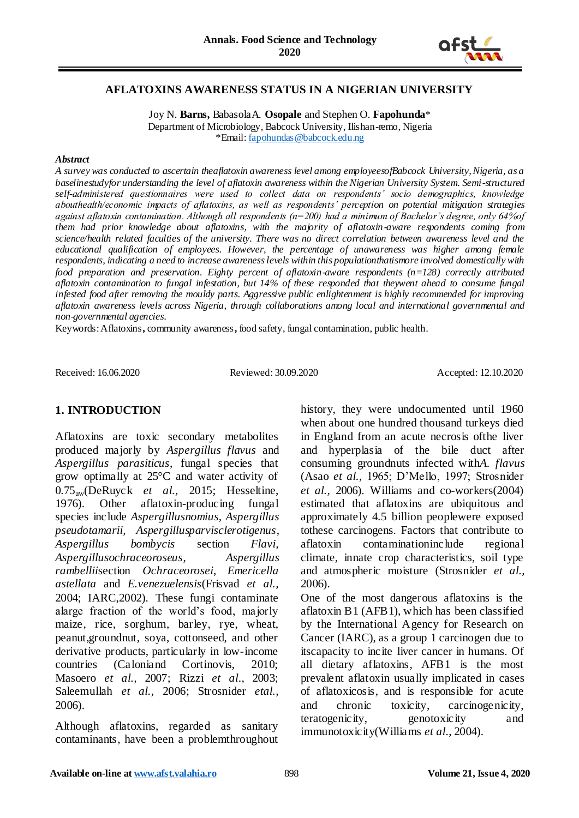

## **AFLATOXINS AWARENESS STATUS IN A NIGERIAN UNIVERSITY**

Joy N. **Barns,** BabasolaA. **Osopale** and Stephen O. **Fapohunda**\* Department of Microbiology, Babcock University, Ilishan-remo, Nigeria \*Email[: fapohundas@babcock.edu.ng](mailto:fapohundas@babcock.edu.ng)

#### *Abstract*

*A survey was conducted to ascertain theaflatoxin awareness level among employeesofBabcock University, Nigeria, as a baselinestudyfor understanding the level of aflatoxin awareness within the Nigerian University System. Semi-structured self-administered questionnaires were used to collect data on respondents' socio demographics, knowledge abouthealth/economic impacts of aflatoxins, as well as respondents' perception on potential mitigation strategies against aflatoxin contamination. Although all respondents (n=200) had a minimum of Bachelor's degree, only 64%of them had prior knowledge about aflatoxins, with the majority of aflatoxin-aware respondents coming from science/health related faculties of the university. There was no direct correlation between awareness level and the educational qualification of employees. However, the percentage of unawareness was higher among female respondents, indicating a need to increase awareness levels within this populationthatismore involved domestically with food preparation and preservation. Eighty percent of aflatoxin-aware respondents (n=128) correctly attributed aflatoxin contamination to fungal infestation, but 14% of these responded that theywent ahead to consume fungal infested food after removing the mouldy parts. Aggressive public enlightenment is highly recommended for improving aflatoxin awareness levels across Nigeria, through collaborations among local and international governmental and non-governmental agencies.*

Keywords: Aflatoxins**,** community awareness**,** food safety, fungal contamination, public health.

Received: 16.06.2020 Reviewed: 30.09.2020 Accepted: 12.10.2020

## **1. INTRODUCTION**

Aflatoxins are toxic secondary metabolites produced majorly by *Aspergillus flavus* and *Aspergillus parasiticus*, fungal species that grow optimally at 25°C and water activity of 0.75aw(DeRuyck *et al.,* 2015; Hesseltine, 1976). Other aflatoxin-producing fungal species include *Aspergillusnomius, Aspergillus pseudotamarii, Aspergillusparvisclerotigenus*, *Aspergillus bombycis* section *Flavi, Aspergillusochraceoroseus*, *Aspergillus rambellii*section *Ochraceorosei*, *Emericella astellata* and *E.venezuelensis*(Frisvad *et al.,* 2004; IARC,2002). These fungi contaminate alarge fraction of the world's food, majorly maize, rice, sorghum, barley, rye, wheat, peanut,groundnut, soya, cottonseed, and other derivative products, particularly in low-income countries (Caloniand Cortinovis, 2010; Masoero *et al.,* 2007; Rizzi *et al*., 2003; Saleemullah *et al.,* 2006; Strosnider *etal.,* 2006).

Although aflatoxins, regarded as sanitary contaminants, have been a problemthroughout history, they were undocumented until 1960 when about one hundred thousand turkeys died in England from an acute necrosis ofthe liver and hyperplasia of the bile duct after consuming groundnuts infected with*A. flavus* (Asao *et al.,* 1965; D'Mello, 1997; Strosnider *et al.,* 2006). Williams and co-workers(2004) estimated that aflatoxins are ubiquitous and approximately 4.5 billion peoplewere exposed tothese carcinogens. Factors that contribute to aflatoxin contaminationinclude regional climate, innate crop characteristics, soil type and atmospheric moisture (Strosnider *et al.,* 2006).

One of the most dangerous aflatoxins is the aflatoxin B1 (AFB1), which has been classified by the International Agency for Research on Cancer (IARC), as a group 1 carcinogen due to itscapacity to incite liver cancer in humans. Of all dietary aflatoxins, AFB1 is the most prevalent aflatoxin usually implicated in cases of aflatoxicosis, and is responsible for acute and chronic toxicity, carcinogenicity, teratogenicity, genotoxicity and immunotoxicity(Williams *et al*., 2004).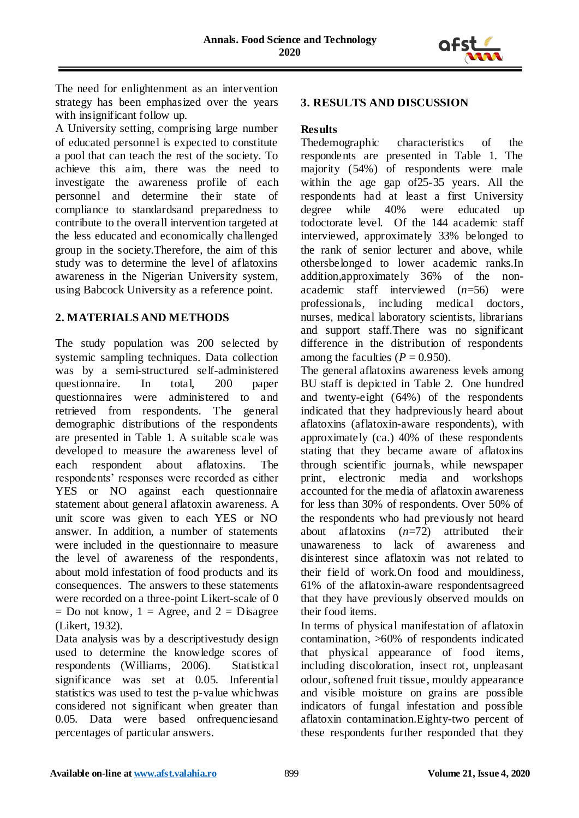

The need for enlightenment as an intervention strategy has been emphasized over the years with insignificant follow up.

A University setting, comprising large number of educated personnel is expected to constitute a pool that can teach the rest of the society. To achieve this aim, there was the need to investigate the awareness profile of each personnel and determine their state of compliance to standardsand preparedness to contribute to the overall intervention targeted at the less educated and economically challenged group in the society.Therefore, the aim of this study was to determine the level of aflatoxins awareness in the Nigerian University system, using Babcock University as a reference point.

# **2. MATERIALS AND METHODS**

The study population was 200 selected by systemic sampling techniques. Data collection was by a semi-structured self-administered questionnaire. In total, 200 paper questionnaires were administered to and retrieved from respondents. The general demographic distributions of the respondents are presented in Table 1. A suitable scale was developed to measure the awareness level of each respondent about aflatoxins. The respondents' responses were recorded as either YES or NO against each questionnaire statement about general aflatoxin awareness. A unit score was given to each YES or NO answer. In addition, a number of statements were included in the questionnaire to measure the level of awareness of the respondents, about mold infestation of food products and its consequences. The answers to these statements were recorded on a three-point Likert-scale of 0  $=$  Do not know,  $1 =$  Agree, and  $2 =$  Disagree (Likert, 1932).

Data analysis was by a descriptivestudy design used to determine the knowledge scores of respondents (Williams, 2006). Statistical significance was set at 0.05. Inferential statistics was used to test the p-value whichwas considered not significant when greater than 0.05. Data were based onfrequencies and percentages of particular answers.

# **3. RESULTS AND DISCUSSION**

# **Results**

Thedemographic characteristics of the respondents are presented in Table 1. The majority (54%) of respondents were male within the age gap of25-35 years. All the respondents had at least a first University degree while 40% were educated up todoctorate level. Of the 144 academic staff interviewed, approximately 33% belonged to the rank of senior lecturer and above, while othersbelonged to lower academic ranks.In addition,approximately 36% of the nonacademic staff interviewed (*n*=56) were professionals, including medical doctors, nurses, medical laboratory scientists, librarians and support staff.There was no significant difference in the distribution of respondents among the faculties  $(P = 0.950)$ .

The general aflatoxins awareness levels among BU staff is depicted in Table 2. One hundred and twenty-eight (64%) of the respondents indicated that they hadpreviously heard about aflatoxins (aflatoxin-aware respondents), with approximately (ca.) 40% of these respondents stating that they became aware of aflatoxins through scientific journals, while newspaper print, electronic media and workshops accounted for the media of aflatoxin awareness for less than 30% of respondents. Over 50% of the respondents who had previously not heard about aflatoxins (*n*=72) attributed their unawareness to lack of awareness and disinterest since aflatoxin was not related to their field of work.On food and mouldiness, 61% of the aflatoxin-aware respondentsagreed that they have previously observed moulds on their food items.

In terms of physical manifestation of aflatoxin contamination, >60% of respondents indicated that physical appearance of food items, including discoloration, insect rot, unpleasant odour, softened fruit tissue, mouldy appearance and visible moisture on grains are possible indicators of fungal infestation and possible aflatoxin contamination.Eighty-two percent of these respondents further responded that they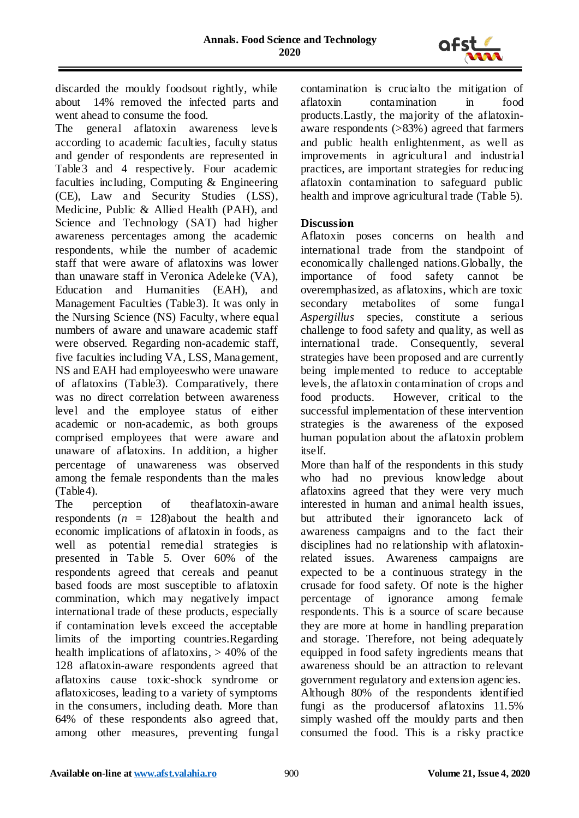

discarded the mouldy foodsout rightly, while about 14% removed the infected parts and went ahead to consume the food.

The general aflatoxin awareness levels according to academic faculties, faculty status and gender of respondents are represented in Table3 and 4 respectively. Four academic faculties including, Computing & Engineering (CE), Law and Security Studies (LSS), Medicine, Public & Allied Health (PAH), and Science and Technology (SAT) had higher awareness percentages among the academic respondents, while the number of academic staff that were aware of aflatoxins was lower than unaware staff in Veronica Adeleke (VA), Education and Humanities (EAH), and Management Faculties (Table3). It was only in the Nursing Science (NS) Faculty, where equal numbers of aware and unaware academic staff were observed. Regarding non-academic staff, five faculties including VA, LSS, Management, NS and EAH had employeeswho were unaware of aflatoxins (Table3). Comparatively, there was no direct correlation between awareness level and the employee status of either academic or non-academic, as both groups comprised employees that were aware and unaware of aflatoxins. In addition, a higher percentage of unawareness was observed among the female respondents than the males (Table4).

The perception of theaflatoxin-aware respondents  $(n = 128)$ about the health and economic implications of aflatoxin in foods, as well as potential remedial strategies is presented in Table 5. Over 60% of the respondents agreed that cereals and peanut based foods are most susceptible to aflatoxin commination, which may negatively impact international trade of these products, especially if contamination levels exceed the acceptable limits of the importing countries.Regarding health implications of aflatoxins,  $> 40\%$  of the 128 aflatoxin-aware respondents agreed that aflatoxins cause toxic-shock syndrome or aflatoxicoses, leading to a variety of symptoms in the consumers, including death. More than 64% of these respondents also agreed that, among other measures, preventing fungal

contamination is crucialto the mitigation of aflatoxin contamination in food products.Lastly, the majority of the aflatoxinaware respondents (>83%) agreed that farmers and public health enlightenment, as well as improvements in agricultural and industrial practices, are important strategies for reducing aflatoxin contamination to safeguard public health and improve agricultural trade (Table 5).

# **Discussion**

Aflatoxin poses concerns on health and international trade from the standpoint of economically challenged nations.Globally, the importance of food safety cannot be overemphasized, as aflatoxins, which are toxic secondary metabolites of some fungal *Aspergillus* species, constitute a serious challenge to food safety and quality, as well as international trade. Consequently, several strategies have been proposed and are currently being implemented to reduce to acceptable levels, the aflatoxin contamination of crops and food products. However, critical to the successful implementation of these intervention strategies is the awareness of the exposed human population about the aflatoxin problem itself.

More than half of the respondents in this study who had no previous knowledge about aflatoxins agreed that they were very much interested in human and animal health issues, but attributed their ignoranceto lack of awareness campaigns and to the fact their disciplines had no relationship with aflatoxinrelated issues. Awareness campaigns are expected to be a continuous strategy in the crusade for food safety. Of note is the higher percentage of ignorance among female respondents. This is a source of scare because they are more at home in handling preparation and storage. Therefore, not being adequately equipped in food safety ingredients means that awareness should be an attraction to relevant government regulatory and extension agencies. Although 80% of the respondents identified fungi as the producersof aflatoxins 11.5% simply washed off the mouldy parts and then consumed the food. This is a risky practice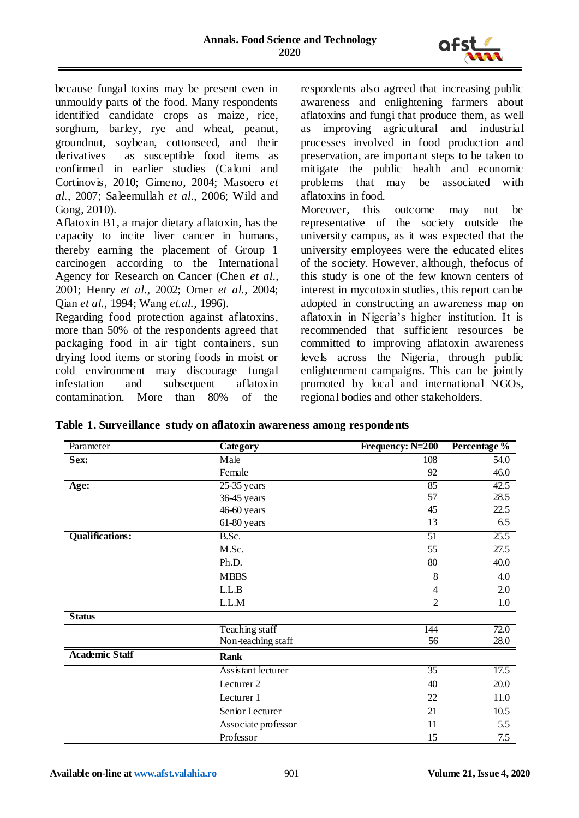

because fungal toxins may be present even in unmouldy parts of the food. Many respondents identified candidate crops as maize, rice, sorghum, barley, rye and wheat, peanut, groundnut, soybean, cottonseed, and their derivatives as susceptible food items as confirmed in earlier studies (Caloni and Cortinovis, 2010; Gimeno, 2004; Masoero *et al.,* 2007; Saleemullah *et al*., 2006; Wild and Gong, 2010).

Aflatoxin B1, a major dietary aflatoxin, has the capacity to incite liver cancer in humans, thereby earning the placement of Group 1 carcinogen according to the International Agency for Research on Cancer (Chen *et al*., 2001; Henry *et al*., 2002; Omer *et al.*, 2004; Qian *et al.,* 1994; Wang *et.al.,* 1996).

Regarding food protection against aflatoxins, more than 50% of the respondents agreed that packaging food in air tight containers, sun drying food items or storing foods in moist or cold environment may discourage fungal infestation and subsequent aflatoxin contamination. More than 80% of the

respondents also agreed that increasing public awareness and enlightening farmers about aflatoxins and fungi that produce them, as well as improving agricultural and industrial processes involved in food production and preservation, are important steps to be taken to mitigate the public health and economic problems that may be associated with aflatoxins in food.

Moreover, this outcome may not be representative of the society outside the university campus, as it was expected that the university employees were the educated elites of the society. However, although, thefocus of this study is one of the few known centers of interest in mycotoxin studies, this report can be adopted in constructing an awareness map on aflatoxin in Nigeria's higher institution. It is recommended that sufficient resources be committed to improving aflatoxin awareness levels across the Nigeria, through public enlightenment campaigns. This can be jointly promoted by local and international NGOs, regional bodies and other stakeholders.

| Table 1. Surveillance study on aflatoxin awareness among respondents |  |  |  |
|----------------------------------------------------------------------|--|--|--|
|                                                                      |  |  |  |

| Parameter              | <b>Category</b>     | Frequency: N=200 | Percentage % |
|------------------------|---------------------|------------------|--------------|
| Sex:                   | Male                | 108              | 54.0         |
|                        | Female              | 92               | 46.0         |
| Age:                   | $25-35$ years       | 85               | 42.5         |
|                        | 36-45 years         | 57               | 28.5         |
|                        | 46-60 years         | 45               | 22.5         |
|                        | 61-80 years         | 13               | 6.5          |
| <b>Qualifications:</b> | B.Sc.               | 51               | 25.5         |
|                        | M.Sc.               | 55               | 27.5         |
|                        | Ph.D.               | 80               | 40.0         |
|                        | <b>MBBS</b>         | 8                | 4.0          |
|                        | L.L.B               | 4                | 2.0          |
|                        | L.L.M               | 2                | $1.0\,$      |
| <b>Status</b>          |                     |                  |              |
|                        | Teaching staff      | 144              | 72.0         |
|                        | Non-teaching staff  | 56               | 28.0         |
| <b>Academic Staff</b>  | <b>Rank</b>         |                  |              |
|                        | Assistant lecturer  | 35               | 17.5         |
|                        | Lecturer 2          | 40               | 20.0         |
|                        | Lecturer 1          | 22               | 11.0         |
|                        | Senior Lecturer     | 21               | 10.5         |
|                        | Associate professor | 11               | 5.5          |
|                        | Professor           | 15               | 7.5          |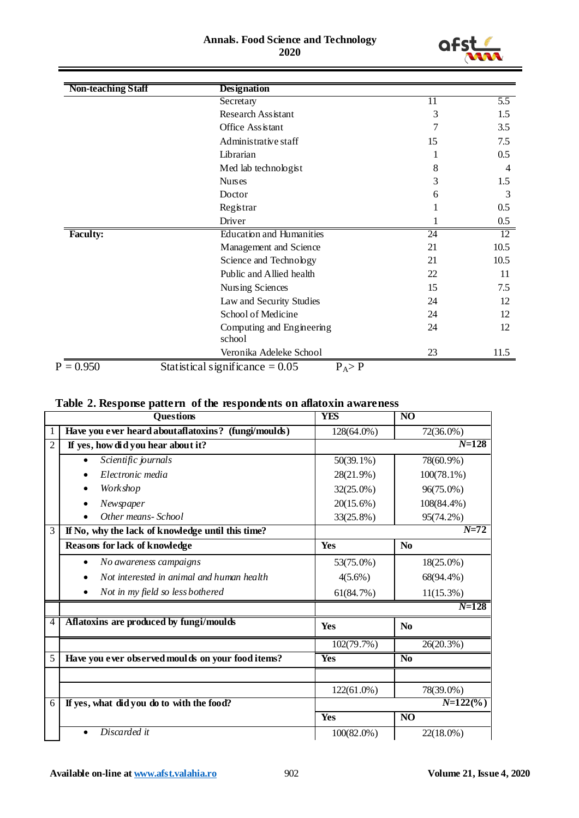#### **Annals. Food Science and Technology 2020**



| <b>Non-teaching Staff</b> | Designation                         |    |      |
|---------------------------|-------------------------------------|----|------|
|                           | Secretary                           | 11 | 5.5  |
|                           | <b>Research Assistant</b>           | 3  | 1.5  |
|                           | Office Assistant                    | 7  | 3.5  |
|                           | Administrative staff                | 15 | 7.5  |
|                           | Librarian                           |    | 0.5  |
|                           | Med lab technologist                | 8  | 4    |
|                           | <b>Nurses</b>                       | 3  | 1.5  |
|                           | Doctor                              | 6  | 3    |
|                           | Registrar                           |    | 0.5  |
|                           | Driver                              |    | 0.5  |
| <b>Faculty:</b>           | <b>Education and Humanities</b>     | 24 | 12   |
|                           | Management and Science              | 21 | 10.5 |
|                           | Science and Technology              | 21 | 10.5 |
|                           | Public and Allied health            | 22 | 11   |
|                           | Nursing Sciences                    | 15 | 7.5  |
|                           | Law and Security Studies            | 24 | 12   |
|                           | School of Medicine                  | 24 | 12   |
|                           | Computing and Engineering<br>school | 24 | 12   |
|                           | Veronika Adeleke School             | 23 | 11.5 |

# **Table 2. Response pattern of the respondents on aflatoxin awareness**

|                | <b>Questions</b>                                       | <b>YES</b>    | N <sub>O</sub>  |
|----------------|--------------------------------------------------------|---------------|-----------------|
|                | Have you ever heard about aflatoxins? (fungi/moulds)   | 128(64.0%)    | 72(36.0%)       |
| $\overline{2}$ | If yes, how did you hear about it?                     |               | $N = 128$       |
|                | Scientific journals                                    | $50(39.1\%)$  | 78(60.9%)       |
|                | Electronic media                                       | 28(21.9%)     | $100(78.1\%)$   |
|                | Work shop                                              | $32(25.0\%)$  | 96(75.0%)       |
|                | Newspaper                                              | 20(15.6%)     | 108(84.4%)      |
|                | Other means-School                                     | 33(25.8%)     | 95(74.2%)       |
| $\overline{3}$ | If No, why the lack of knowledge until this time?      |               | $N = 72$        |
|                | <b>Reasons for lack of knowledge</b>                   | Yes           | N <sub>0</sub>  |
|                | No awareness campaigns<br>$\bullet$                    | 53(75.0%)     | $18(25.0\%)$    |
|                | Not interested in animal and human health<br>$\bullet$ | $4(5.6\%)$    | 68(94.4%)       |
|                | Not in my field so less bothered                       | 61(84.7%)     | $11(15.3\%)$    |
|                |                                                        |               | $N = 128$       |
| 4              | Aflatoxins are produced by fungi/moulds                | Yes           | N <sub>0</sub>  |
|                |                                                        | 102(79.7%)    | 26(20.3%)       |
| 5              | Have you ever observed moulds on your food items?      | <b>Yes</b>    | N <sub>0</sub>  |
|                |                                                        |               |                 |
|                |                                                        | 122(61.0%)    | 78(39.0%)       |
| 6              | If yes, what did you do to with the food?              |               | $N=122$ (%)     |
|                |                                                        | Yes           | $\overline{NO}$ |
|                | Discarded it                                           | $100(82.0\%)$ | 22(18.0%)       |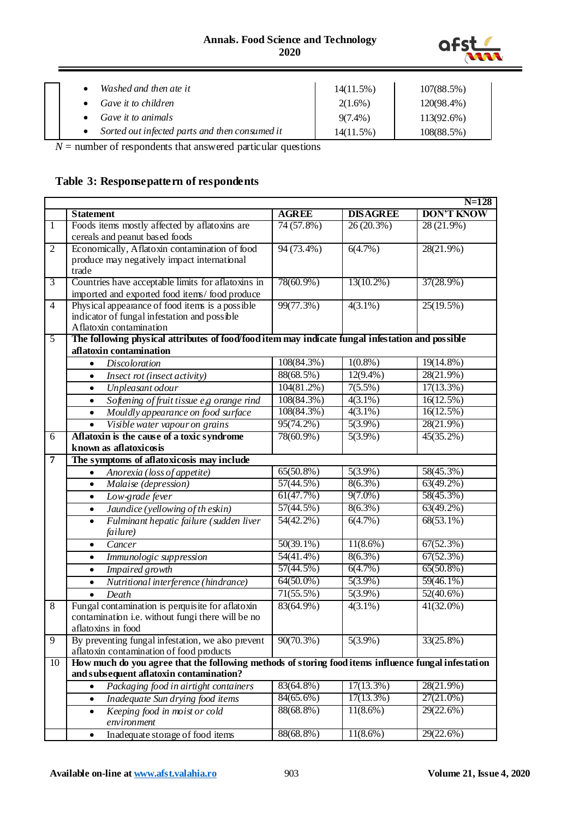

|  | Washed and then ate it                           | $14(11.5\%)$ | 107(88.5%)    |
|--|--------------------------------------------------|--------------|---------------|
|  | Gave it to children                              | $2(1.6\%)$   | 120(98.4%)    |
|  | Gave it to animals                               | $9(7.4\%)$   | $113(92.6\%)$ |
|  | • Sorted out infected parts and then consumed it | 14(11.5%)    | 108(88.5%)    |

 $N =$  number of respondents that answered particular questions

# **Table 3: Responsepattern of respondents**

|                |                                                                                                                                                |              |                 | $N = 128$               |
|----------------|------------------------------------------------------------------------------------------------------------------------------------------------|--------------|-----------------|-------------------------|
|                | <b>Statement</b>                                                                                                                               | <b>AGREE</b> | <b>DISAGREE</b> | <b>DON'T KNOW</b>       |
| $\mathbf{1}$   | Foods items mostly affected by aflatoxins are                                                                                                  | 74 (57.8%)   | 26(20.3%)       | $28(21.9\%)$            |
|                | cereals and peanut based foods                                                                                                                 |              |                 |                         |
| $\overline{2}$ | Economically, Aflatoxin contamination of food                                                                                                  | $94(73.4\%)$ | 6(4.7%)         | $28(21.9\%)$            |
|                | produce may negatively impact international                                                                                                    |              |                 |                         |
|                | trade                                                                                                                                          |              |                 |                         |
| $\overline{3}$ | Countries have acceptable limits for aflatoxins in                                                                                             | 78(60.9%)    | $13(10.2\%)$    | $37(28.9\%)$            |
|                | imported and exported food items/food produce                                                                                                  |              |                 |                         |
| $\overline{4}$ | Physical appearance of food items is a possible                                                                                                | 99(77.3%)    | $4(3.1\%)$      | $25(19.5\%)$            |
|                | indicator of fungal infestation and possible<br>Aflatoxin contamination                                                                        |              |                 |                         |
| $\overline{5}$ | The following physical attributes of food/food item may indicate fungal infestation and possible                                               |              |                 |                         |
|                | aflatoxin contamination                                                                                                                        |              |                 |                         |
|                | <b>Discoloration</b><br>$\bullet$                                                                                                              | 108(84.3%)   | $1(0.8\%)$      | 19(14.8%)               |
|                | Insect rot (insect activity)<br>$\bullet$                                                                                                      | 88(68.5%)    | $12(9.4\%)$     | 28(21.9%)               |
|                | Unpleasant odour<br>$\bullet$                                                                                                                  | 104(81.2%)   | $7(5.5\%)$      | $17(13.3\%)$            |
|                | Softening of fruit tissue e,g orange rind<br>$\bullet$                                                                                         | 108(84.3%)   | $4(3.1\%)$      | $\overline{16(12.5\%)}$ |
|                | Mouldly appearance on food surface<br>$\bullet$                                                                                                | 108(84.3%)   | $4(3.1\%)$      | 16(12.5%)               |
|                | Visible water vapour on grains<br>$\bullet$                                                                                                    | 95(74.2%)    | $5(3.9\%)$      | 28(21.9%)               |
| 6              | Aflatoxin is the cause of a toxic syndrome                                                                                                     | 78(60.9%)    | $5(3.9\%)$      | $45(35.2\%)$            |
|                | known as aflatoxicosis                                                                                                                         |              |                 |                         |
| $\overline{7}$ | The symptoms of aflatoxicosis may include                                                                                                      |              |                 |                         |
|                | Anorexia (loss of appetite)<br>$\bullet$                                                                                                       | $65(50.8\%)$ | $5(3.9\%)$      | 58(45.3%)               |
|                | Malaise (depression)<br>$\bullet$                                                                                                              | 57(44.5%)    | $8(6.3\%)$      | $63(49.2\%)$            |
|                | Low-grade fever<br>$\bullet$                                                                                                                   | 61(47.7%)    | $9(7.0\%)$      | $58(45.3\%)$            |
|                | Jaundice (yellowing of the skin)<br>$\bullet$                                                                                                  | 57(44.5%)    | $8(6.3\%)$      | $63(49.2\%)$            |
|                | Fulminant hepatic failure (sudden liver<br>$\bullet$                                                                                           | $54(42.2\%)$ | 6(4.7%)         | $68(53.1\%)$            |
|                | failure)                                                                                                                                       |              |                 |                         |
|                | Cancer<br>$\bullet$                                                                                                                            | $50(39.1\%)$ | $11(8.6\%)$     | 67(52.3%)               |
|                | Immunologic suppression<br>$\bullet$                                                                                                           | 54(41.4%)    | $8(6.3\%)$      | 67(52.3%)               |
|                | Impaired growth<br>$\bullet$                                                                                                                   | 57(44.5%)    | 6(4.7%)         | $65(50.8\%)$            |
|                | Nutritional interference (hindrance)<br>$\bullet$                                                                                              | $64(50.0\%)$ | $5(3.9\%)$      | $59(46.1\%)$            |
|                | Death<br>$\bullet$                                                                                                                             | $71(55.5\%)$ | $5(3.9\%)$      | $52(40.6\%)$            |
| 8              | Fungal contamination is perquisite for aflatoxin                                                                                               | 83(64.9%)    | $4(3.1\%)$      | $41(32.0\%)$            |
|                | contamination i.e. without fungi there will be no                                                                                              |              |                 |                         |
|                | aflatoxins in food                                                                                                                             |              |                 |                         |
| 9              | By preventing fungal infestation, we also prevent                                                                                              | $90(70.3\%)$ | $5(3.9\%)$      | 33(25.8%)               |
|                | aflatoxin contamination of food products                                                                                                       |              |                 |                         |
| 10             | How much do you agree that the following methods of storing food items influence fungal infestation<br>and subsequent aflatoxin contamination? |              |                 |                         |
|                | Packaging food in airtight containers<br>$\bullet$                                                                                             | 83(64.8%)    | $17(13.3\%)$    | 28(21.9%)               |
|                | Inadequate Sun drying food items<br>$\bullet$                                                                                                  | $84(65.6\%)$ | $17(13.3\%)$    | $27(21.0\%)$            |
|                | Keeping food in moist or cold<br>$\bullet$                                                                                                     | 88(68.8%)    | $11(8.6\%)$     | $29(22.6\%)$            |
|                | environment                                                                                                                                    |              |                 |                         |
|                | Inadequate storage of food items<br>$\bullet$                                                                                                  | 88(68.8%)    | $11(8.6\%)$     | $29(22.6\%)$            |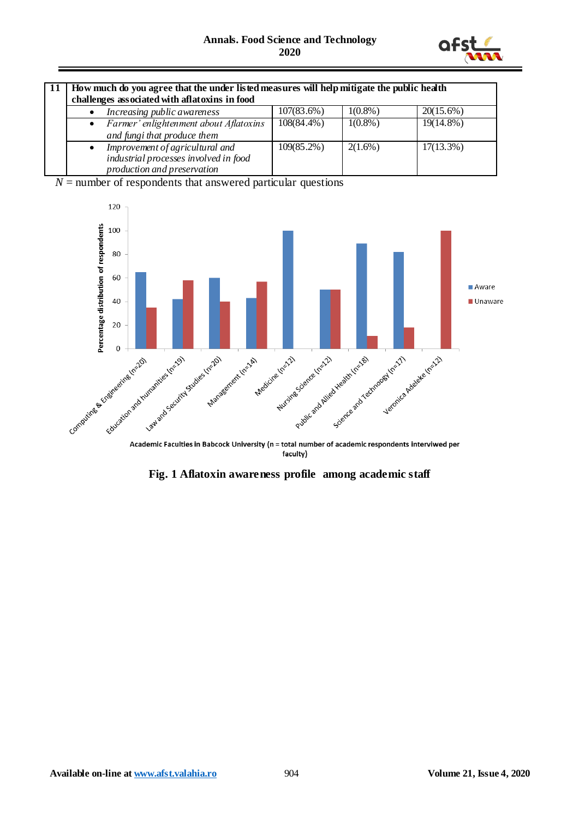

| How much do you agree that the under listed measures will help mitigate the public health<br>challenges associated with aflatoxins in food |               |            |              |  |
|--------------------------------------------------------------------------------------------------------------------------------------------|---------------|------------|--------------|--|
| Increasing public awareness                                                                                                                | 107(83.6%)    | $1(0.8\%)$ | $20(15.6\%)$ |  |
| Farmer' enlightenment about Aflatoxins<br>$\bullet$<br>and fungi that produce them                                                         | $108(84.4\%)$ | $1(0.8\%)$ | $19(14.8\%)$ |  |
| Improvement of agricultural and<br>$\bullet$<br>industrial processes involved in food<br>production and preservation                       | $109(85.2\%)$ | $2(1.6\%)$ | $17(13.3\%)$ |  |

 $N =$  number of respondents that answered particular questions



faculty)

**Fig. 1 Aflatoxin awareness profile among academic staff**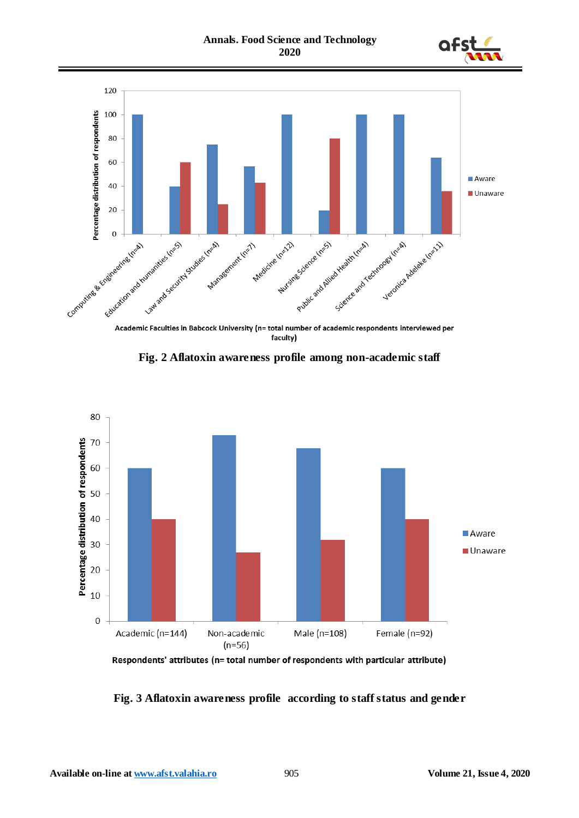



Academic Faculties in Babcock University (n= total number of academic respondents interviewed per faculty)

**Fig. 2 Aflatoxin awareness profile among non-academic staff**



Respondents' attributes (n= total number of respondents with particular attribute)

**Fig. 3 Aflatoxin awareness profile according to staff status and gender**